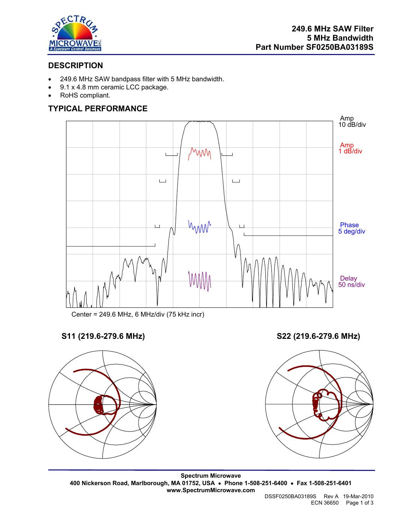

# **DESCRIPTION**

- 249.6 MHz SAW bandpass filter with 5 MHz bandwidth.
- 9.1 x 4.8 mm ceramic LCC package.
- RoHS compliant.

# **TYPICAL PERFORMANCE**



Center = 249.6 MHz, 6 MHz/div (75 kHz incr)

# **S11 (219.6-279.6 MHz) S22 (219.6-279.6 MHz)**





**Spectrum Microwave 400 Nickerson Road, Marlborough, MA 01752, USA** • **Phone 1-508-251-6400** • **Fax 1-508-251-6401 www.SpectrumMicrowave.com** 

 DSSF0250BA03189S Rev A 19-Mar-2010 ECN 36650 Page 1 of 3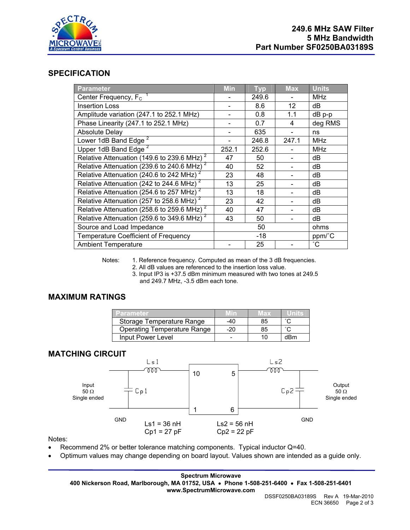

#### **SPECIFICATION**

| <b>Parameter</b>                                          | <b>Min</b> | <b>Typ</b> | <b>Max</b> | <b>Units</b> |
|-----------------------------------------------------------|------------|------------|------------|--------------|
| Center Frequency, $F_c$ <sup>1</sup>                      |            | 249.6      |            | <b>MHz</b>   |
| <b>Insertion Loss</b>                                     |            | 8.6        | 12         | dB           |
| Amplitude variation (247.1 to 252.1 MHz)                  |            | 0.8        | 1.1        | dB p-p       |
| Phase Linearity (247.1 to 252.1 MHz)                      |            | 0.7        | 4          | deg RMS      |
| <b>Absolute Delay</b>                                     |            | 635        |            | ns           |
| Lower 1dB Band Edge <sup>2</sup>                          |            | 246.8      | 247.1      | <b>MHz</b>   |
| Upper 1dB Band Edge <sup>2</sup>                          | 252.1      | 252.6      |            | MHz          |
| Relative Attenuation (149.6 to 239.6 MHz) <sup>2</sup>    | 47         | 50         |            | dB           |
| Relative Attenuation (239.6 to 240.6 MHz) <sup>2</sup>    | 40         | 52         |            | dB           |
| Relative Attenuation (240.6 to 242 MHz) <sup>2</sup>      | 23         | 48         |            | dB           |
| Relative Attenuation (242 to 244.6 MHz)                   | 13         | 25         |            | dB           |
| Relative Attenuation (254.6 to 257 MHz) <sup>2</sup>      | 13         | 18         |            | dB           |
| Relative Attenuation (257 to 258.6 MHz) <sup>2</sup>      | 23         | 42         |            | dB           |
| Relative Attenuation (258.6 to 259.6 MHz) $^2$            | 40         | 47         |            | dB           |
| Relative Attenuation ( $259.6$ to 349.6 MHz) <sup>2</sup> | 43         | 50         |            | dB           |
| Source and Load Impedance                                 |            | 50         |            | ohms         |
| <b>Temperature Coefficient of Frequency</b>               |            | $-18$      |            | ppm/°C       |
| <b>Ambient Temperature</b>                                |            | 25         |            | $^{\circ}$ C |

Notes: 1. Reference frequency. Computed as mean of the 3 dB frequencies.

2. All dB values are referenced to the insertion loss value.

 3. Input IP3 is +37.5 dBm minimum measured with two tones at 249.5 and 249.7 MHz, -3.5 dBm each tone.

## **MAXIMUM RATINGS**

| Parameter                          | Hn  | иах | unns |
|------------------------------------|-----|-----|------|
| Storage Temperature Range          | -40 | 85  |      |
| <b>Operating Temperature Range</b> | -20 | 85  |      |
| Input Power Level                  |     |     | dBm  |

## **MATCHING CIRCUIT**



Notes:

- Recommend 2% or better tolerance matching components. Typical inductor Q=40.
- Optimum values may change depending on board layout. Values shown are intended as a guide only.

**Spectrum Microwave 400 Nickerson Road, Marlborough, MA 01752, USA** • **Phone 1-508-251-6400** • **Fax 1-508-251-6401 www.SpectrumMicrowave.com**